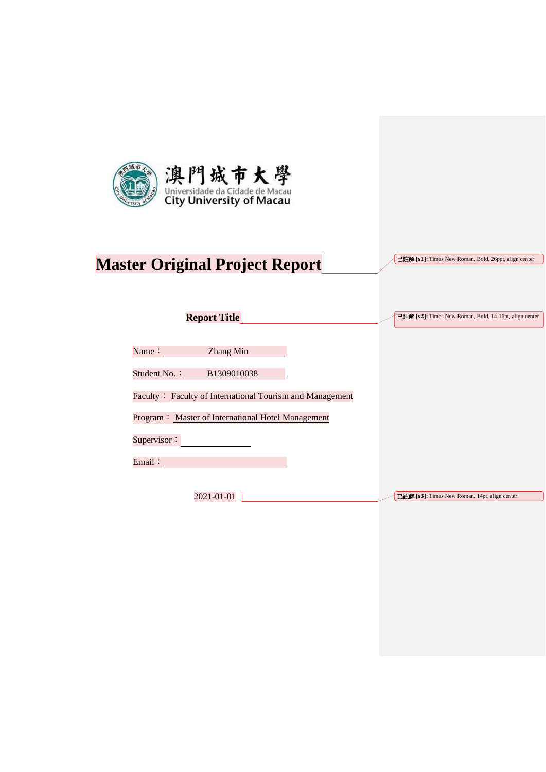

# **Master Original Project Report**

已註解 **[s1]:** Times New Roman, Bold, 26ppt, align center

已註解 **[s2]:** Times New Roman, Bold, 14-16pt, align center

**Report Title**

Name: **Zhang Min** 

Student No.: B1309010038

Faculty: Faculty of International Tourism and Management

Program: Master of International Hotel Management

Supervisor:

Email: No. 1996. The Company of the Company of the Company of the Company of the Company of the Company of the Company of the Company of the Company of the Company of the Company of the Company of the Company of the Compan

2021-01-01

已註解 **[s3]:** Times New Roman, 14pt, align center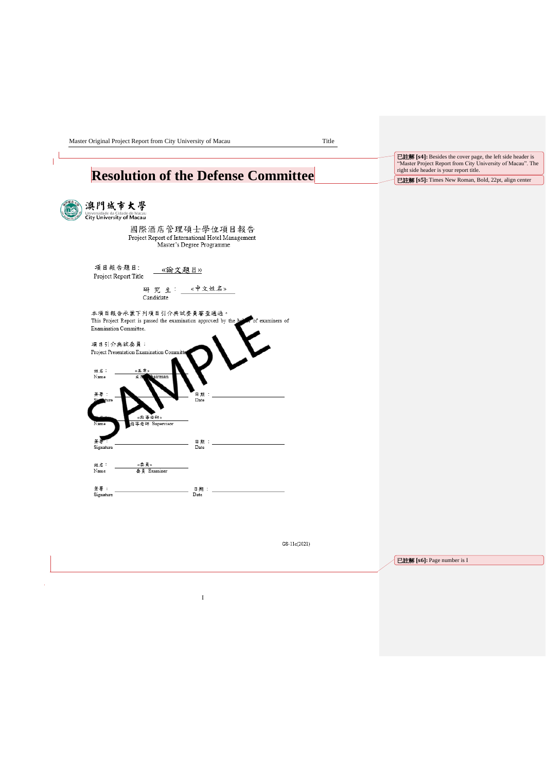Master Original Project Report from City University of Macau Title

 $\mathbb{L}^{\mathbb{L}}$ 

### **Resolution of the Defense Committee**

| 澳門城市大學<br>Universidade da Cidade de Macau<br>City University of Macau                                                                                                                             |             |
|---------------------------------------------------------------------------------------------------------------------------------------------------------------------------------------------------|-------------|
| 國際酒店管理碩士學位項目報告<br>Project Report of International Hotel Management<br>Master's Degree Programme                                                                                                   |             |
| 項目報告題目:<br>《論文題目》<br>Project Report Title                                                                                                                                                         |             |
| 研究生: «中文姓名»<br>Candidate                                                                                                                                                                          |             |
| 本項目報告承蒙下列項目引介典試委員審查通過。<br>This Project Report is passed the examination approved by the below of examiners of<br>Examination Committee.<br>項目引介典試委員:<br>Project Presentation Examination Committe |             |
| 《主席》<br>姓名:<br>Name<br>aairman                                                                                                                                                                    |             |
| 簽署 :<br>ture<br>«指導老師»                                                                                                                                                                            | 日期<br>Date  |
| 導老師 Supervisor<br>Name<br>Signature                                                                                                                                                               | 日期:<br>Date |
| 姓名:<br>《黍灵》<br>Name<br>委員 Examiner                                                                                                                                                                |             |
| 答署 :<br>Signature                                                                                                                                                                                 | 日期:<br>Date |

已註解 **[s6]:** Page number is I

已註解 **[s4]:** Besides the cover page, the left side header is "Master Project Report from City University of Macau". The right side header is your report title. 已註解 **[s5]:** Times New Roman, Bold, 22pt, align center

I

GS-11c(2021)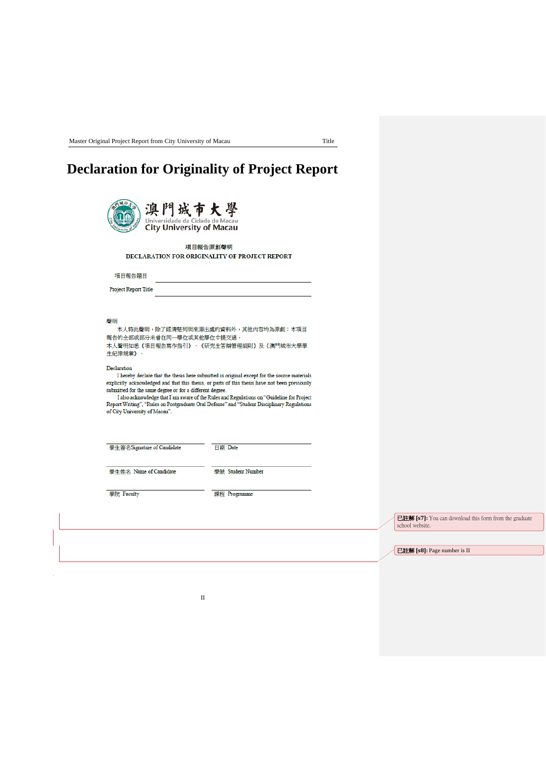### **Declaration for Originality of Project Report**

|                                                                                                                                                                                                          | 項目報告原創聲明<br><b>DECLARATION FOR ORIGINALITY OF PROJECT REPORT</b>                                                                                                                                                                                                                                                                                                                                                                   |
|----------------------------------------------------------------------------------------------------------------------------------------------------------------------------------------------------------|------------------------------------------------------------------------------------------------------------------------------------------------------------------------------------------------------------------------------------------------------------------------------------------------------------------------------------------------------------------------------------------------------------------------------------|
| 項目報告題目                                                                                                                                                                                                   |                                                                                                                                                                                                                                                                                                                                                                                                                                    |
| <b>Project Report Title</b>                                                                                                                                                                              |                                                                                                                                                                                                                                                                                                                                                                                                                                    |
| 本人特此聲明,除了經清楚列明來源出處的資料外,其他內容均為原創;本項目                                                                                                                                                                      |                                                                                                                                                                                                                                                                                                                                                                                                                                    |
|                                                                                                                                                                                                          | 本人聲明知悉《項目報告寫作指引》、《研究生答辯管理細則》及《澳門城市大學學<br>I hereby declare that the thesis here submitted is original except for the source materials<br>explicitly acknowledged and that this thesis, or parts of this thesis have not been previously<br>I also acknowledge that I am aware of the Rules and Regulations on "Guideline for Project<br>Report Writing", "Rules on Postgraduate Oral Defense" and "Student Disciplinary Regulations |
|                                                                                                                                                                                                          | 日期 Date                                                                                                                                                                                                                                                                                                                                                                                                                            |
| 報告的全部或部分未曾在同一學位或其他學位中提交過。<br>生紀律規章》。<br>Declaration<br>submitted for the same degree or for a different degree.<br>of City University of Macau".<br>學生簽名Signature of Candidate<br>學生姓名 Name of Candidate | 學號 Student Number                                                                                                                                                                                                                                                                                                                                                                                                                  |

已註解 **[s7]:** You can download this form from the graduate school website.

已註解 **[s8]:** Page number is II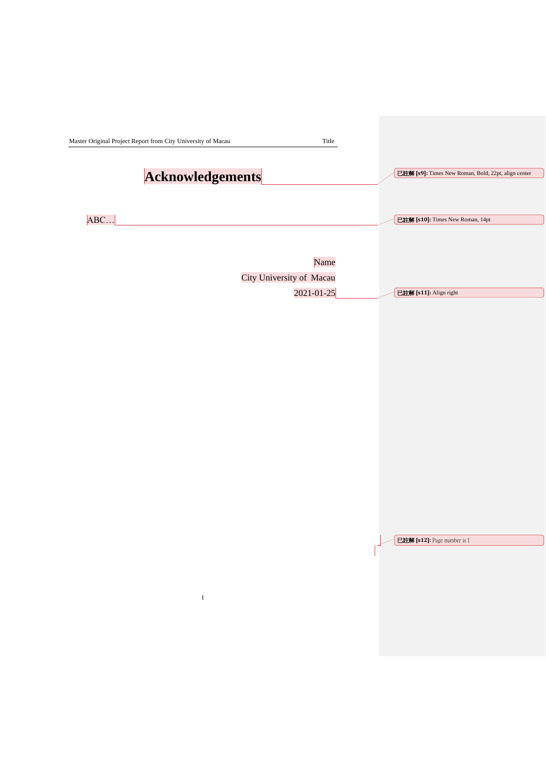<span id="page-3-0"></span>

| Master Original Project Report from City University of Macau<br>Title |                                                     |
|-----------------------------------------------------------------------|-----------------------------------------------------|
| <b>Acknowledgements</b>                                               | 已註解 [s9]: Times New Roman, Bold, 22pt, align center |
| ABC                                                                   | 已註解 [s10]: Times New Roman, 14pt                    |
| Name                                                                  |                                                     |
| City University of Macau                                              |                                                     |
| 2021-01-25                                                            | 已註解 [s11]: Align right                              |
|                                                                       |                                                     |

已註解 **[s12]:** Page number is I

 $\overline{\phantom{a}}$ 

I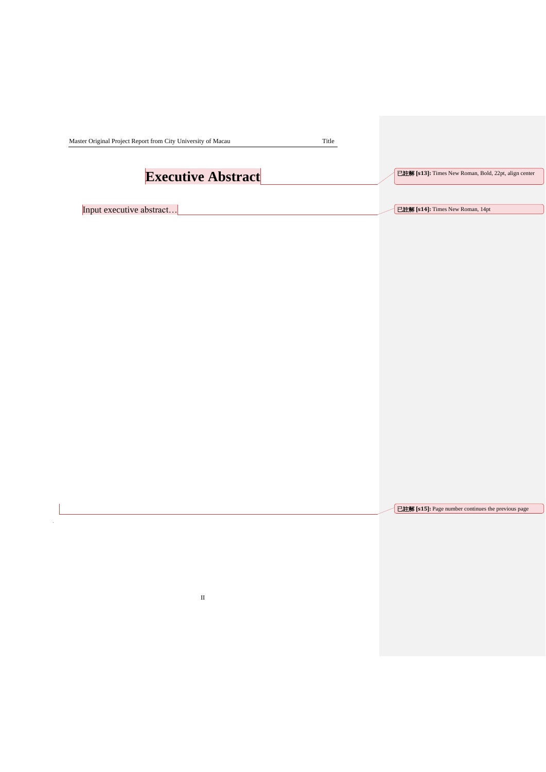<span id="page-4-0"></span>

| <b>Executive Abstract</b> | 已註解 [s13]: Times New Roman, Bold, 22pt, align center |  |
|---------------------------|------------------------------------------------------|--|
| Input executive abstract  | 已註解 [s14]: Times New Roman, 14pt                     |  |
|                           |                                                      |  |
|                           |                                                      |  |
|                           |                                                      |  |
|                           |                                                      |  |
|                           |                                                      |  |
|                           |                                                      |  |
|                           |                                                      |  |
|                           |                                                      |  |
|                           |                                                      |  |
|                           |                                                      |  |
|                           |                                                      |  |
|                           |                                                      |  |
|                           |                                                      |  |
|                           |                                                      |  |
|                           | 已註解 [s15]: Page number continues the previous page   |  |
|                           |                                                      |  |
|                           |                                                      |  |
|                           |                                                      |  |
|                           |                                                      |  |
| $\rm II$                  |                                                      |  |
|                           |                                                      |  |
|                           |                                                      |  |
|                           |                                                      |  |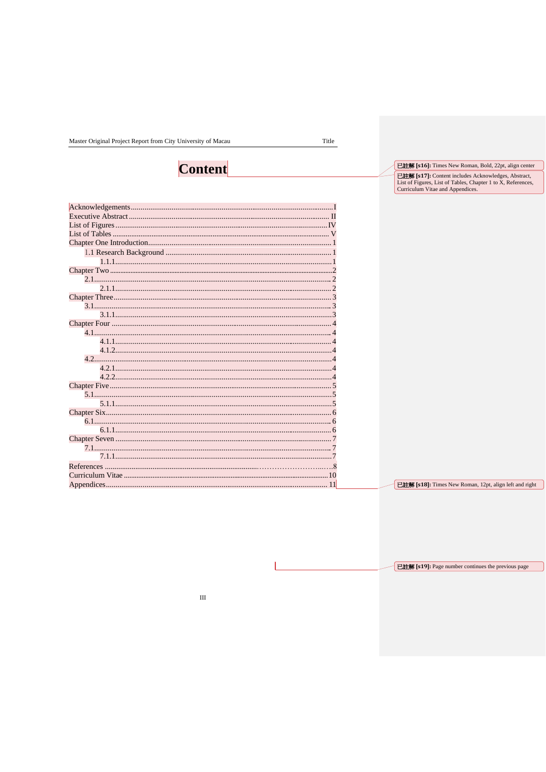Master Original Project Report from City University of Macau

Title

## **Content**

| 4.2 |    |
|-----|----|
|     |    |
|     |    |
|     |    |
|     |    |
|     |    |
|     |    |
|     |    |
|     |    |
|     |    |
|     |    |
|     |    |
|     |    |
|     |    |
|     | 11 |

已註解 [s16]: Times New Roman, Bold, 22pt, align center

**ELER [s17]:** Content includes Acknowledges, Abstract,<br>List of Figures, List of Tables, Chapter 1 to X, References,<br>Curriculum Vitae and Appendices.

**Elimia** [s18]: Times New Roman, 12pt, align left and right

**已註解** [s19]: Page number continues the previous page

 $\overline{\mathsf{L}}$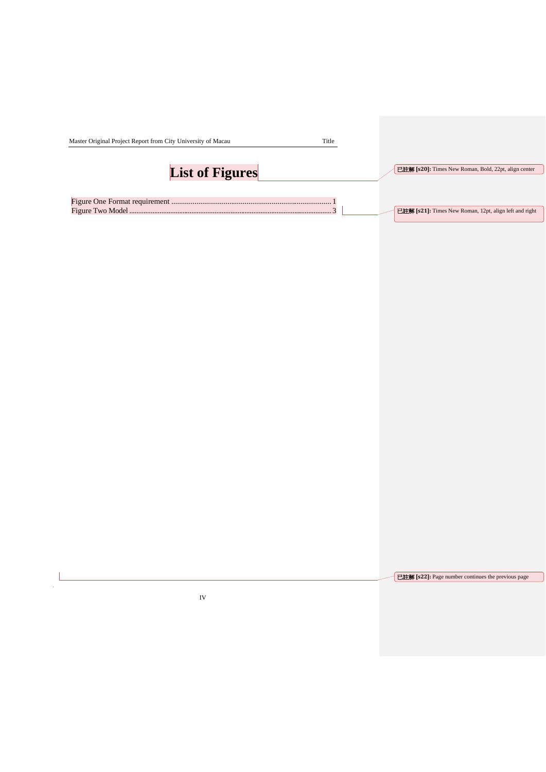| Master Original Project Report from City University of Macau<br>Title |                                                        |
|-----------------------------------------------------------------------|--------------------------------------------------------|
| <b>List of Figures</b>                                                | 已註解 [s20]: Times New Roman, Bold, 22pt, align center   |
|                                                                       | 已註解 [s21]: Times New Roman, 12pt, align left and right |

已註解 **[s22]:** Page number continues the previous page

IV

 $\frac{1}{2}$ l.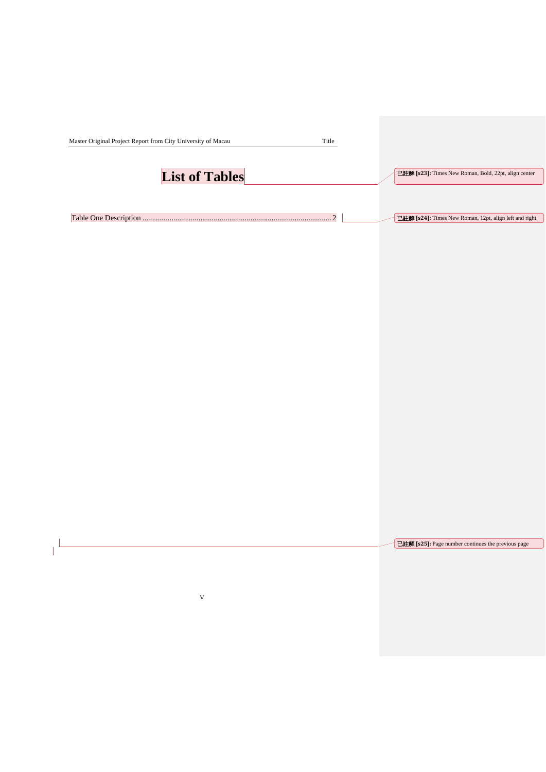<span id="page-7-0"></span>

|                           |                | 已註解 [s23]: Times New Roman, Bold, 22pt, align center   |
|---------------------------|----------------|--------------------------------------------------------|
| <b>List of Tables</b>     |                |                                                        |
|                           | $\overline{2}$ | 已註解 [s24]: Times New Roman, 12pt, align left and right |
|                           |                |                                                        |
|                           |                |                                                        |
|                           |                |                                                        |
|                           |                |                                                        |
|                           |                |                                                        |
|                           |                |                                                        |
|                           |                |                                                        |
|                           |                |                                                        |
|                           |                |                                                        |
|                           |                |                                                        |
|                           |                |                                                        |
|                           |                |                                                        |
|                           |                |                                                        |
|                           |                |                                                        |
|                           |                |                                                        |
|                           |                | 已註解 [s25]: Page number continues the previous page     |
|                           |                |                                                        |
| $\ensuremath{\mathsf{V}}$ |                |                                                        |
|                           |                |                                                        |
|                           |                |                                                        |
|                           |                |                                                        |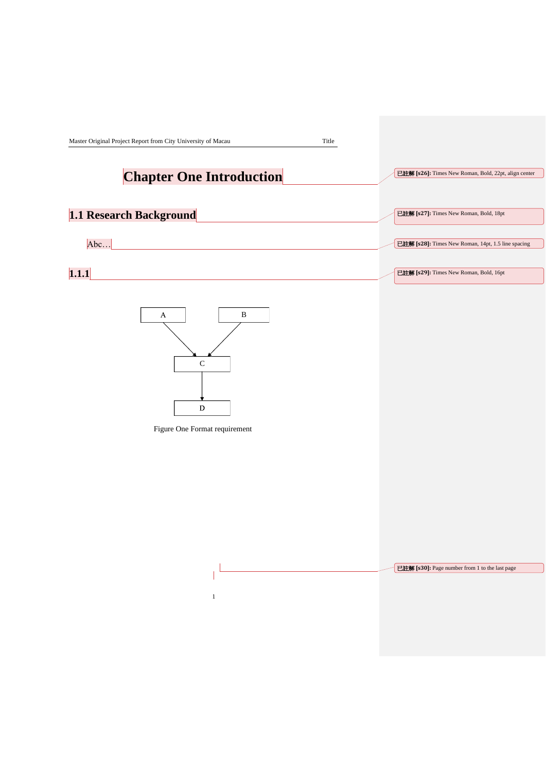<span id="page-8-0"></span>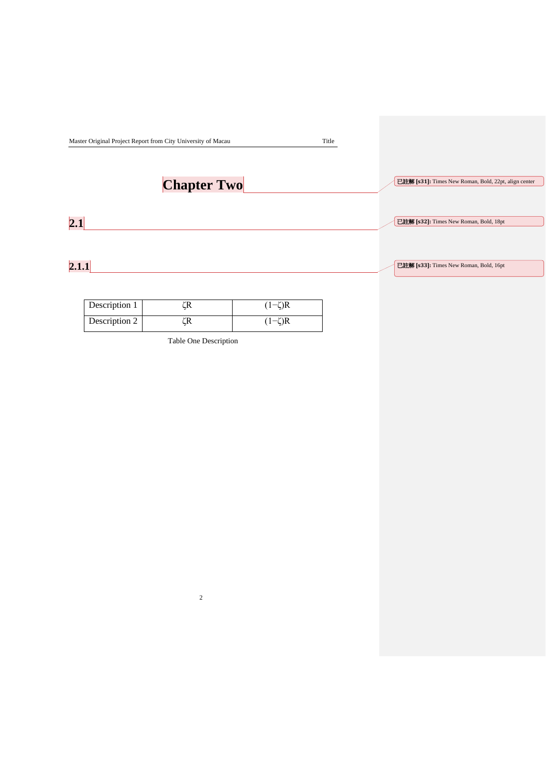|               | Master Original Project Report from City University of Macau |              | Title |                                                      |
|---------------|--------------------------------------------------------------|--------------|-------|------------------------------------------------------|
|               | <b>Chapter Two</b>                                           |              |       | 已註解 [s31]: Times New Roman, Bold, 22pt, align center |
| 2.1           |                                                              |              |       | 已註解 [s32]: Times New Roman, Bold, 18pt               |
| 2.1.1         |                                                              |              |       | 已註解 [s33]: Times New Roman, Bold, 16pt               |
| Description 1 | ζR                                                           | $(1-\zeta)R$ |       |                                                      |

| Description 1 |              |
|---------------|--------------|
| Description 2 | $(1-\zeta)R$ |

Table One Description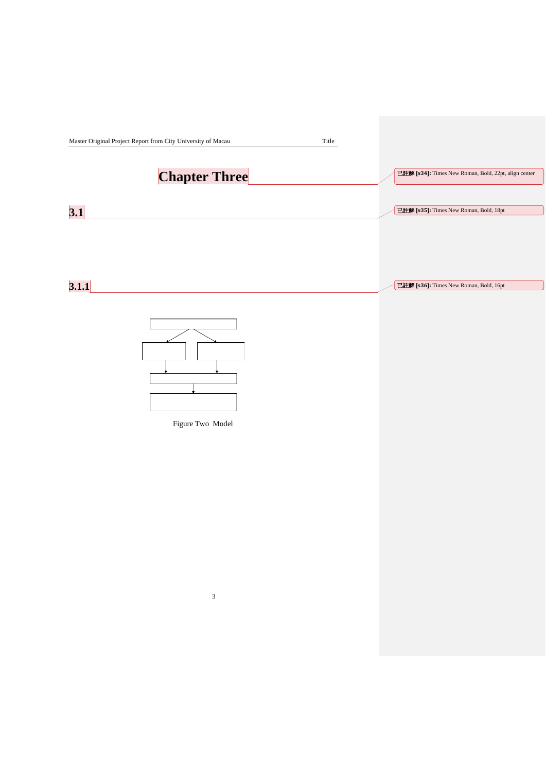<span id="page-10-3"></span><span id="page-10-2"></span><span id="page-10-1"></span><span id="page-10-0"></span>

|       | Master Original Project Report from City University of Macau | Title                                                |
|-------|--------------------------------------------------------------|------------------------------------------------------|
|       | <b>Chapter Three</b>                                         | 已註解 [s34]: Times New Roman, Bold, 22pt, align center |
| 3.1   |                                                              | 已註解 [s35]: Times New Roman, Bold, 18pt               |
|       |                                                              |                                                      |
| 3.1.1 |                                                              | 已註解 [s36]: Times New Roman, Bold, 16pt               |
|       | Figure Two Model                                             |                                                      |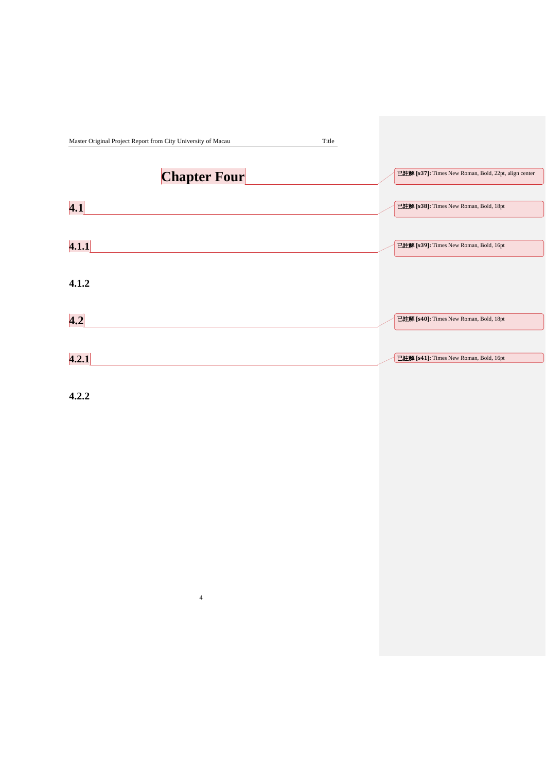<span id="page-11-1"></span><span id="page-11-0"></span>

| Master Original Project Report from City University of Macau | Title                                                |  |
|--------------------------------------------------------------|------------------------------------------------------|--|
| <b>Chapter Four</b>                                          | 已註解 [s37]: Times New Roman, Bold, 22pt, align center |  |
| $\overline{4.1}$                                             | 已註解 [s38]: Times New Roman, Bold, 18pt               |  |
| 4.1.1                                                        | 已註解 [s39]: Times New Roman, Bold, 16pt               |  |
| 4.1.2                                                        |                                                      |  |
| 4.2                                                          | 已註解 [s40]: Times New Roman, Bold, 18pt               |  |
| 4.2.1                                                        | 已註解 [s41]: Times New Roman, Bold, 16pt               |  |

<span id="page-11-3"></span><span id="page-11-2"></span>**4.2.2**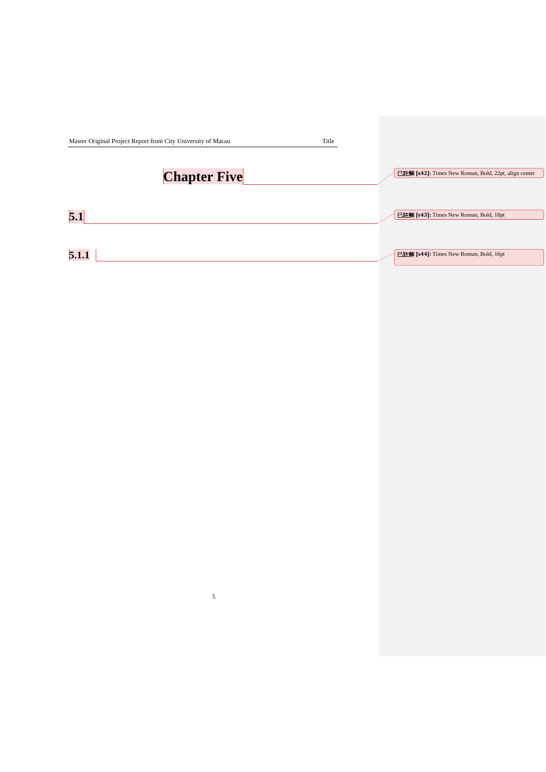<span id="page-12-3"></span><span id="page-12-2"></span><span id="page-12-1"></span><span id="page-12-0"></span>

| Master Original Project Report from City University of Macau | Title                                                |
|--------------------------------------------------------------|------------------------------------------------------|
| <b>Chapter Five</b>                                          | 已註解 [s42]: Times New Roman, Bold, 22pt, align center |
| 5.1                                                          | 已註解 [s43]: Times New Roman, Bold, 18pt               |
| 5.1.1                                                        | 已註解 [s44]: Times New Roman, Bold, 16pt               |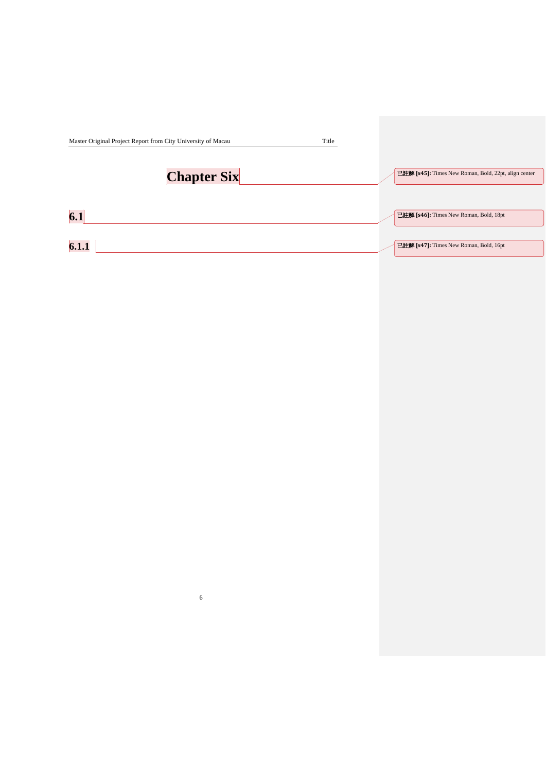<span id="page-13-6"></span><span id="page-13-5"></span><span id="page-13-4"></span><span id="page-13-3"></span><span id="page-13-2"></span><span id="page-13-1"></span><span id="page-13-0"></span>

| Master Original Project Report from City University of Macau | Title                                                |
|--------------------------------------------------------------|------------------------------------------------------|
| <b>Chapter Six</b>                                           | 已註解 [s45]: Times New Roman, Bold, 22pt, align center |
| 6.1                                                          | 已註解 [s46]: Times New Roman, Bold, 18pt               |
| 6.1.1                                                        | 已註解 [s47]: Times New Roman, Bold, 16pt               |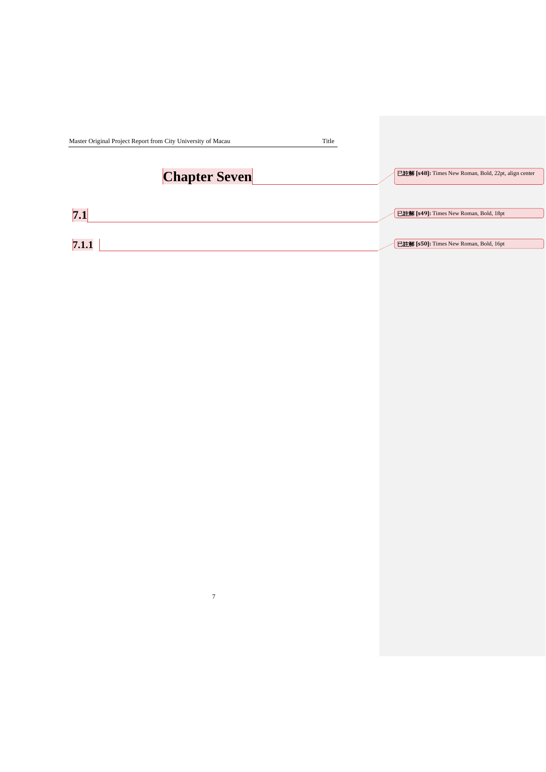<span id="page-14-2"></span><span id="page-14-1"></span><span id="page-14-0"></span>

| Master Original Project Report from City University of Macau |                      | Title |                                                      |
|--------------------------------------------------------------|----------------------|-------|------------------------------------------------------|
|                                                              | <b>Chapter Seven</b> |       | 已註解 [s48]: Times New Roman, Bold, 22pt, align center |
| 7.1                                                          |                      |       | 已註解 [s49]: Times New Roman, Bold, 18pt               |
| 7.1.1                                                        |                      |       | 已註解 [s50]: Times New Roman, Bold, 16pt               |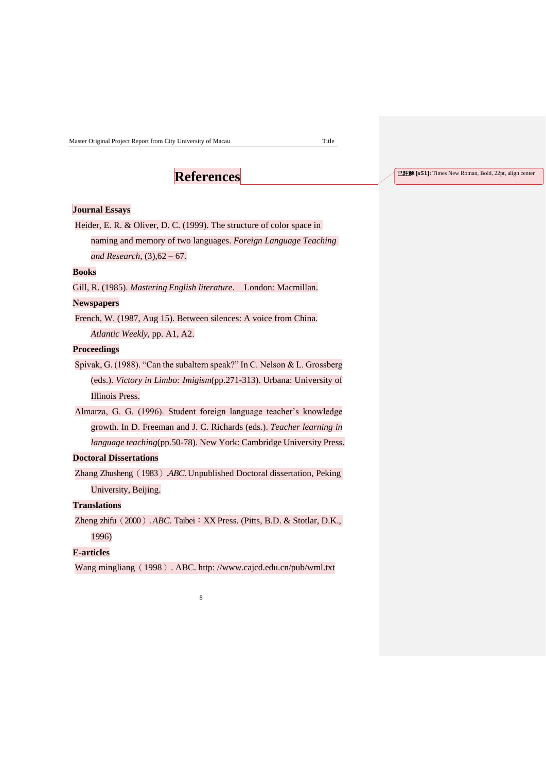### **References**

#### <span id="page-15-1"></span><span id="page-15-0"></span>**Journal Essays**

<span id="page-15-2"></span>Heider, E. R. & Oliver, D. C. (1999). The structure of color space in

naming and memory of two languages. *Foreign Language Teaching and Research*, (3),62 – 67.

#### **Books**

Gill, R. (1985). *Mastering English literature*. London: Macmillan.

#### **Newspapers**

French, W. (1987, Aug 15). Between silences: A voice from China. *Atlantic Weekly*, pp. A1, A2.

#### **Proceedings**

Spivak, G. (1988). "Can the subaltern speak?" In C. Nelson & L. Grossberg (eds.). *Victory in Limbo: Imigism*(pp.271-313). Urbana: University of Illinois Press.

Almarza, G. G. (1996). Student foreign language teacher's knowledge growth. In D. Freeman and J. C. Richards (eds.). *Teacher learning in language teaching*(pp.50-78). New York: Cambridge University Press.

#### **Doctoral Dissertations**

Zhang Zhusheng(1983).*ABC*. Unpublished Doctoral dissertation, Peking University, Beijing.

#### **Translations**

Zheng zhifu (2000). *ABC*. Taibei: XX Press. (Pitts, B.D. & Stotlar, D.K., 1996)

#### **E-articles**

Wang mingliang (1998). ABC. http:/[/www.cajcd.edu.cn/pub/wml.txt](http://www.cajcd.edu.cn/pub/wml.txt)

8

#### 已註解 **[s51]:** Times New Roman, Bold, 22pt, align center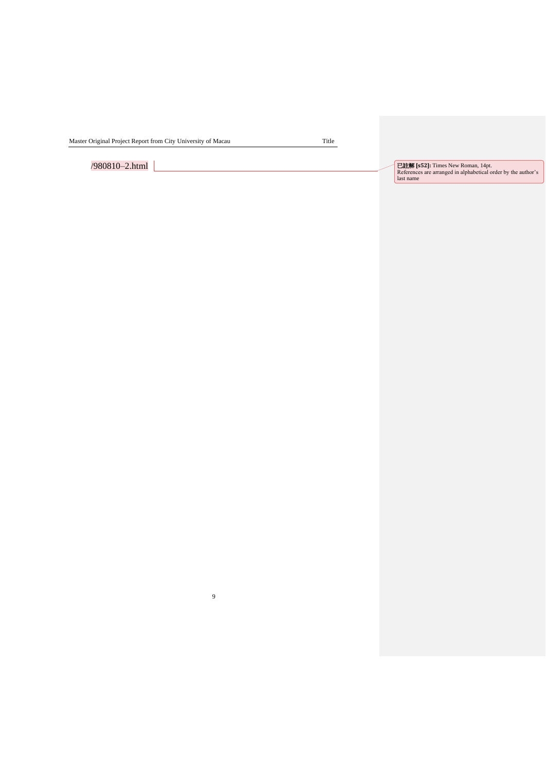<span id="page-16-0"></span>Master Original Project Report from City University of Macau Title

9

<span id="page-16-2"></span><span id="page-16-1"></span>

/980810–2.html 已註解 **[s52]:** Times New Roman, 14pt. References are arranged in alphabetical order by the author's last name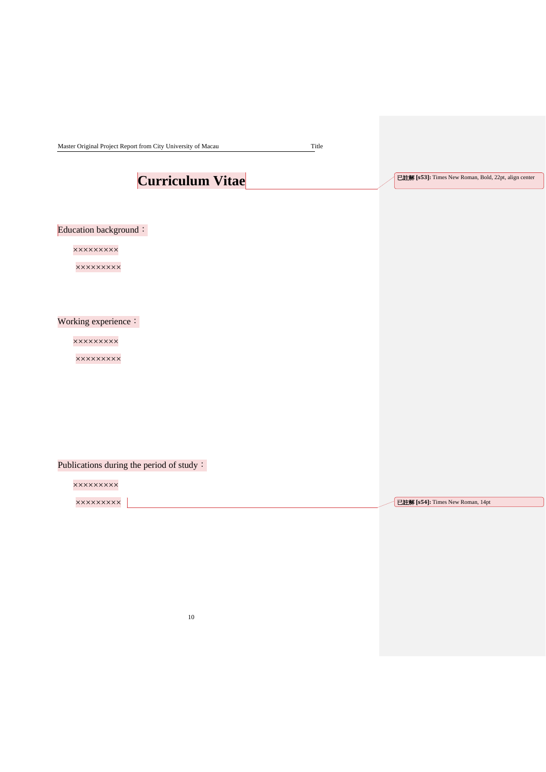Master Original Project Report from City University of Macau Title

## **Curriculum Vitae**

已註解 **[s53]:** Times New Roman, Bold, 22pt, align center

### Education background:

×××××××××

×××××××××

#### Working experience:

×××××××××

×××××××××

### Publications during the period of study:

×××××××××

×××××××××

已註解 **[s54]:** Times New Roman, 14pt